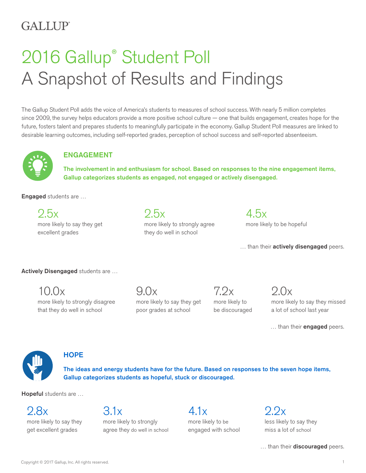# GALLUP<sup>®</sup>

# 2016 Gallup® Student Poll A Snapshot of Results and Findings

The Gallup Student Poll adds the voice of America's students to measures of school success. With nearly 5 million completes since 2009, the survey helps educators provide a more positive school culture — one that builds engagement, creates hope for the future, fosters talent and prepares students to meaningfully participate in the economy. Gallup Student Poll measures are linked to desirable learning outcomes, including self-reported grades, perception of school success and self-reported absenteeism.



# ENGAGEMENT

The involvement in and enthusiasm for school. Based on responses to the nine engagement items, Gallup categorizes students as engaged, not engaged or actively disengaged.

Engaged students are …

2.5x more likely to say they get excellent grades

2.5x more likely to strongly agree they do well in school

4.5x more likely to be hopeful

... than their **actively disengaged** peers.

Actively Disengaged students are ...

10.0x more likely to strongly disagree that they do well in school

 $9.0x$ more likely to say they get poor grades at school

 $7.2x$ more likely to be discouraged

 $9.0x$ more likely to say they missed a lot of school last year

... than their **engaged** peers.



# **HOPE**

The ideas and energy students have for the future. Based on responses to the seven hope items, Gallup categorizes students as hopeful, stuck or discouraged.

Hopeful students are ...

2.8x more likely to say they get excellent grades

# 3.1x

more likely to strongly agree they do well in school

4.1x more likely to be engaged with school

 $2.2x$ less likely to say they miss a lot of school

... than their discouraged peers.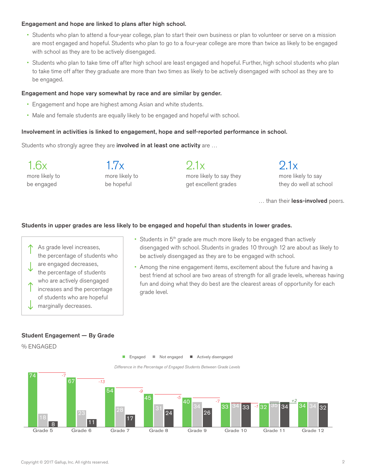#### Engagement and hope are linked to plans after high school.

- Students who plan to attend a four-year college, plan to start their own business or plan to volunteer or serve on a mission are most engaged and hopeful. Students who plan to go to a four-year college are more than twice as likely to be engaged with school as they are to be actively disengaged.
- Students who plan to take time off after high school are least engaged and hopeful. Further, high school students who plan to take time off after they graduate are more than two times as likely to be actively disengaged with school as they are to be engaged.

#### Engagement and hope vary somewhat by race and are similar by gender.

- Engagement and hope are highest among Asian and white students.
- Male and female students are equally likely to be engaged and hopeful with school.

#### Involvement in activities is linked to engagement, hope and self-reported performance in school.

Students who strongly agree they are **involved in at least one activity** are ...

1.6x more likely to be engaged

1.7x more likely to be hopeful

2.1x more likely to say they

get excellent grades

 $91x$ more likely to say they do well at school

... than their **less-involved** peers.

#### Students in upper grades are less likely to be engaged and hopeful than students in lower grades.

- As grade level increases, the percentage of students who are engaged decreases, the percentage of students who are actively disengaged increases and the percentage of students who are hopeful marginally decreases.
- Students in  $5<sup>th</sup>$  grade are much more likely to be engaged than actively disengaged with school. Students in grades 10 through 12 are about as likely to be actively disengaged as they are to be engaged with school.
- Among the nine engagement items, excitement about the future and having a best friend at school are two areas of strength for all grade levels, whereas having fun and doing what they do best are the clearest areas of opportunity for each grade level.

#### Student Engagement — By Grade

% ENGAGED



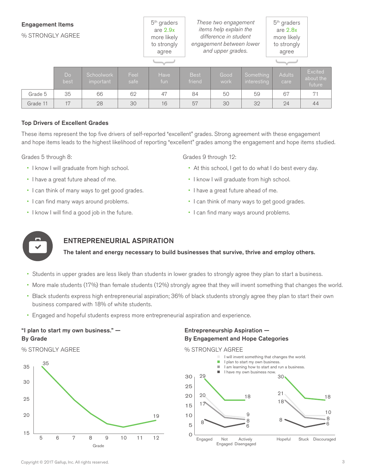| <b>Engagement Items</b><br>% STRONGLY AGREE |                        |                         |              | $5th$ graders<br>are $2.9x$<br>more likely<br>to strongly<br>agree | These two engagement<br>items help explain the<br>difference in student<br>engagement between lower<br>and upper grades. |              |                          | $5th$ graders<br>are $2.8x$<br>more likely<br>to strongly<br>agree |                                       |
|---------------------------------------------|------------------------|-------------------------|--------------|--------------------------------------------------------------------|--------------------------------------------------------------------------------------------------------------------------|--------------|--------------------------|--------------------------------------------------------------------|---------------------------------------|
|                                             | D <sub>o</sub><br>best | Schoolwork<br>important | Feel<br>safe | Have<br>fun                                                        | <b>Best</b><br>friend                                                                                                    | Good<br>work | Something<br>interesting | Adults<br>care                                                     | <b>Excited</b><br>about the<br>future |
| Grade 5                                     | 35                     | 66                      | 62           | 47                                                                 | 84                                                                                                                       | 50           | 59                       | 67                                                                 | 71                                    |
| Grade 11                                    | 17                     | 28                      | 30           | 16                                                                 | 57                                                                                                                       | 30           | 32                       | 24                                                                 | 44                                    |

#### Top Drivers of Excellent Grades

These items represent the top five drivers of self-reported "excellent" grades. Strong agreement with these engagement and hope items leads to the highest likelihood of reporting "excellent" grades among the engagement and hope items studied.

Grades 5 through 8:

- I know I will graduate from high school.
- I have a great future ahead of me.
- I can think of many ways to get good grades.
- I can find many ways around problems.
- I know I will find a good job in the future.

Grades 9 through 12:

- At this school, I get to do what I do best every day.
- I know I will graduate from high school.
- I have a great future ahead of me.
- I can think of many ways to get good grades.
- I can find many ways around problems.



# ENTREPRENEURIAL ASPIRATION

The talent and energy necessary to build businesses that survive, thrive and employ others.

- Students in upper grades are less likely than students in lower grades to strongly agree they plan to start a business.
- More male students (17%) than female students (12%) strongly agree that they will invent something that changes the world.
- Black students express high entrepreneurial aspiration; 36% of black students strongly agree they plan to start their own business compared with 18% of white students.
- Engaged and hopeful students express more entrepreneurial aspiration and experience.

### "I plan to start my own business." — By Grade

% STRONGLY AGREE





Entrepreneurship Aspiration —